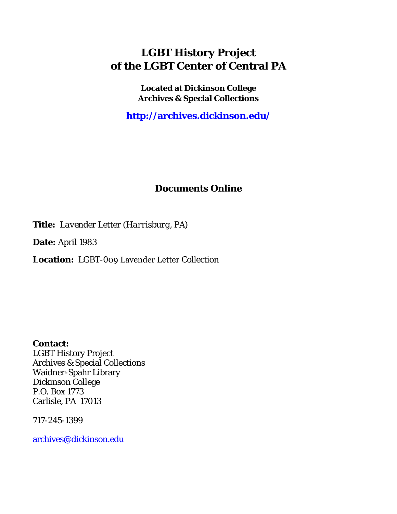## **LGBT History Project of the LGBT Center of Central PA**

**Located at Dickinson College Archives & Special Collections**

**<http://archives.dickinson.edu/>**

## **Documents Online**

**Title:** *Lavender Letter (Harrisburg, PA)*

**Date:** April 1983

**Location:** LGBT-009 Lavender Letter Collection

**Contact:**  LGBT History Project Archives & Special Collections Waidner-Spahr Library Dickinson College P.O. Box 1773 Carlisle, PA 17013

717-245-1399

[archives@dickinson.edu](mailto:archives@dickinson.edu)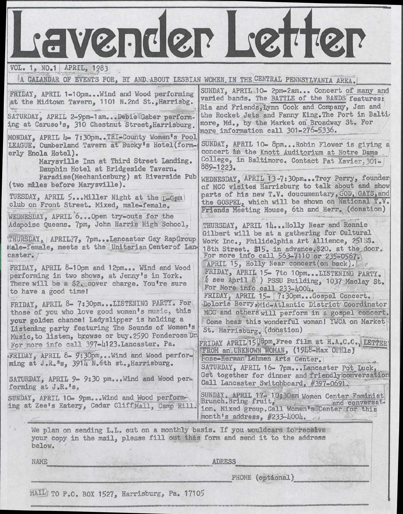## Lavender Letter VOL. 1, NO.1 APRIL,<br>A CALANDAR OF EVENT

VOL. 1, NO.1 <sup>&</sup>lt; APRIL, 1983

A CALANDAR OF EVENTS FOR, BY AND ABOUT LESBIAN WOMEN, IN THE CENTRAL PENNSYLVANIA AREA.

SUNDAY, APRIL 10- 2pm-2am... Concert of many and FRIDAY, APRIL 1-10pm... Wind and Wood performing varied bands. The BATTLE of the BANDS features: at the Midtown Tavern, <sup>1101</sup> N.2nd St.,Harrisbg. Ria and Friends,Lynn Cook and Company, Jan and the Rocket Jets and Fanny King.The Port in Balti-SATURDAY, APRIL 2-9pm~1am...Debie Gaber performmore, Md., by the Market oh Broadway St. For ing at Caruso's, 310 Chestnut Street,Harrisburg. more,information call 301-276-5336. MONDAY, APRIL 4- 7:30pm..TRI-County Women's Pool SUNDAY, APRIL 10- 8pm...Robin Flower is giving a concert in the Knott Auditorium at Notre Dame LEAGUE. Cumberland Tavern at Bucky's Hotel(formconcert in the Knott Auditorium at Notre Dame . College, in Baltimore. Contact Pat Xavier.301erly Enola Hotel). Marysville Inn at Third Street Landing. College, in Baltimore. Contact Pat Xavier, 301-<br>889-1223. Dauphin Hotel at Bridgeside Tavern. Paradise(Mechanicsburg) at Riverside Pub WEDNESDAY, APRIL 13-7:30pm...Troy Perry, founder (two miles before Marysville). of MCC visites Harrisburg to talk about and show' parts of his new T.V. doucumentary, GOD, GAYS, and TUESDAY, APRIL 5...Miller Night at the p-Gem the GOSPEL, which will be shown on National T.V. club on Front Street. Mixed, male-female. Friends Meeting House, 6th and Herr, (donation) WEDNESDAY, APRIL'6...Open try-outs for the Adapoise Queens. 7pm, John Harris High School, THURSDAY, APRIL 14...Holly Near and Ronnie Gilbert will be at a gathering for Cultural 'THURSDAY, APRIL77, 7pm...Lancaster Gay RapGroup Work Inc., Philidelphia Art Allience, 251SS. male-female, meets at the Unitarian Centerof Lan-18th Street. \$15. in advance.\$20. at the door. caster. /' For more info call 563-7110 or 235-0567. APRIL 15, Holly Near concert(on back). FRIDAY, APRIL 8-1Opm and 12pm... Wind and Wood FRIDAY, APRIL 15- 7to 10pm...LISTENING PARTY. performing in two shows, at Jenny's in York. ? see April 8 ) PSSU Building, 1037 Maclay St. There will be a \$2. cover charge. You're sure Por More info call 233-4004. to have a good time! FRIDAY, APRIL 15- 7:30pm...Gospel Concert. FRIDAY, APRIL 8- 7:30pm...LISTENING PARTY. For Doloris Berry, Mid-Atlantic District Coordinator those of you who love good women's music, this MCC and others will perform in a gospel concert. your golden chance! Ladyslipper is holding a Come heat this wonderful woman! YWCA on Market Listening party featuring The Sounds of Women's St. Harrisburg, (donation) Music, to listen, browse or buy. <sup>2590</sup> Ponderosa Dr. FRIDAY APRIL<sup>'</sup>15<sup>0</sup>Spm.Free film at H.A.C.C., LETTER For more info call 397-4123. Lancaster, Pa. FROM an UNKNOWN WOMAN, (1948-Max OPHIs) FRIDAY, APRIL 8- 9:30pm,..Wind and Wood perfor-Rose-Herman"Lehmen Arts <sup>C</sup>enter. ming at J.R.<sup>n</sup>s, 3914 N.6th st., Harrisburg. SATURDAY, APRIL 16- 7pm...Lancaster Pot Luck, Get together for dinner and friendly conversation SATURDAY, APRIL 9- 9:30 pm...Wind and Wood per-Call Lancaster Switchboard, #397-0691 . forming at J.R.'s, SUNDAY. APRIL 17- 10;30am Women Center Feminist<br>Brunch.Bring fruit, and conversat-SUNDAY, APRIL 10- 9pm...Wind and Wood performing at Zee's Eatery, Cedar CliffMall, Camp Hill. ion. Mixed group.Call Women's.'Center for this  $month's$  address.  $#233-1004.$ We plan on sending L.L. out on a monthly basis. If you wouldcare torreceive your copy in the mail, please fill out this form and send it to the address below.  $NAME$ **ADRESS** PHONE (optional)

MAIL TO P.O. BOX 1527, Harrisburg, Pa. 17105